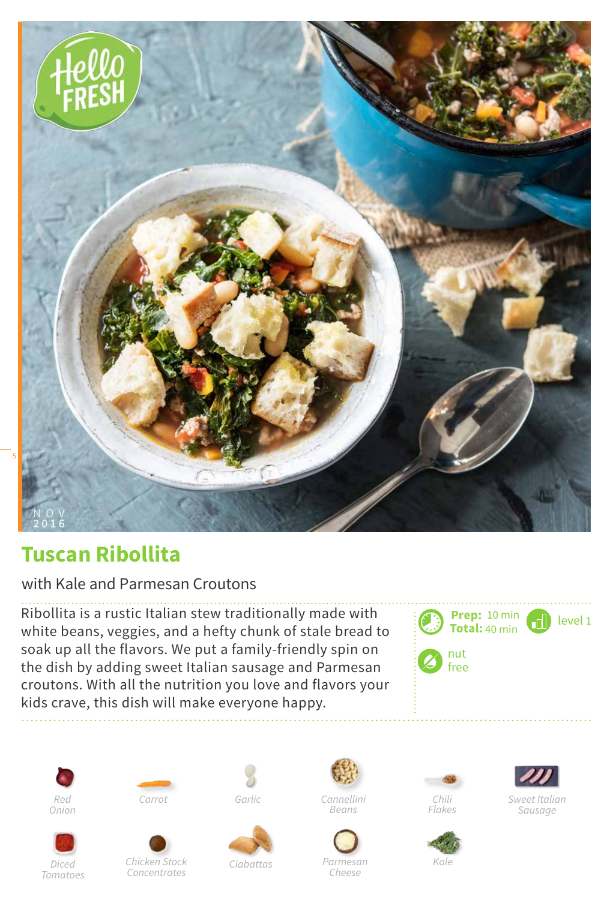

## **Tuscan Ribollita**

with Kale and Parmesan Croutons

Ribollita is a rustic Italian stew traditionally made with white beans, veggies, and a hefty chunk of stale bread to soak up all the flavors. We put a family-friendly spin on the dish by adding sweet Italian sausage and Parmesan croutons. With all the nutrition you love and flavors your kids crave, this dish will make everyone happy.

















*Sweet Italian*



*Chicken Stock Ciabattas Concentrates*



*Parmesan Cheese*





*Sausage*